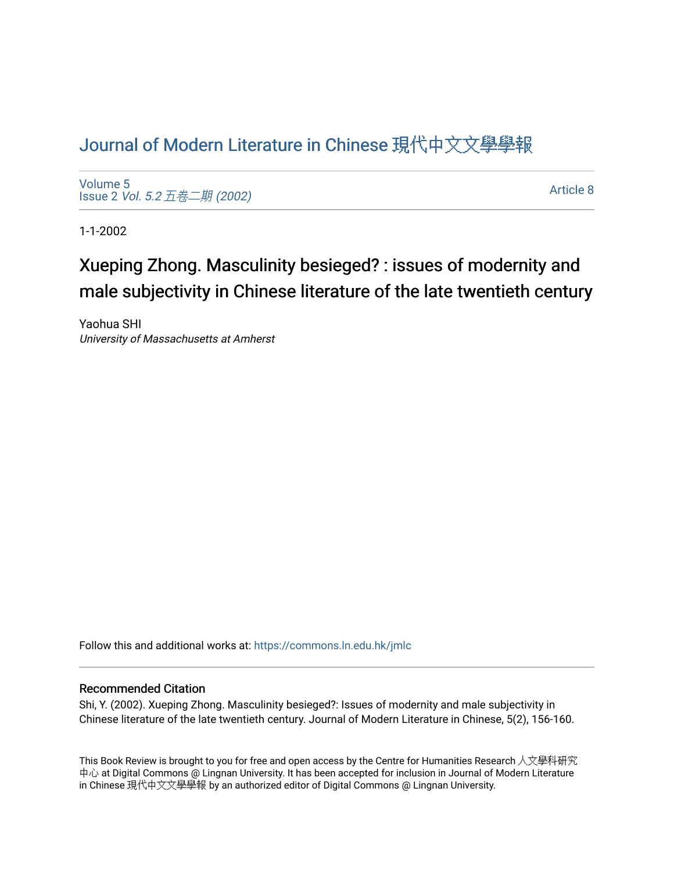## [Journal of Modern Literature in Chinese](https://commons.ln.edu.hk/jmlc) 現代中文文學學報

[Volume 5](https://commons.ln.edu.hk/jmlc/vol5) Issue 2 Vol. 5.2 [五卷二期](https://commons.ln.edu.hk/jmlc/vol5/iss2) (2002)

[Article 8](https://commons.ln.edu.hk/jmlc/vol5/iss2/8) 

1-1-2002

## Xueping Zhong. Masculinity besieged? : issues of modernity and male subjectivity in Chinese literature of the late twentieth century

Yaohua SHI University of Massachusetts at Amherst

Follow this and additional works at: [https://commons.ln.edu.hk/jmlc](https://commons.ln.edu.hk/jmlc?utm_source=commons.ln.edu.hk%2Fjmlc%2Fvol5%2Fiss2%2F8&utm_medium=PDF&utm_campaign=PDFCoverPages) 

## Recommended Citation

Shi, Y. (2002). Xueping Zhong. Masculinity besieged?: Issues of modernity and male subjectivity in Chinese literature of the late twentieth century. Journal of Modern Literature in Chinese, 5(2), 156-160.

This Book Review is brought to you for free and open access by the Centre for Humanities Research 人文學科研究 中心 at Digital Commons @ Lingnan University. It has been accepted for inclusion in Journal of Modern Literature in Chinese 現代中文文學學報 by an authorized editor of Digital Commons @ Lingnan University.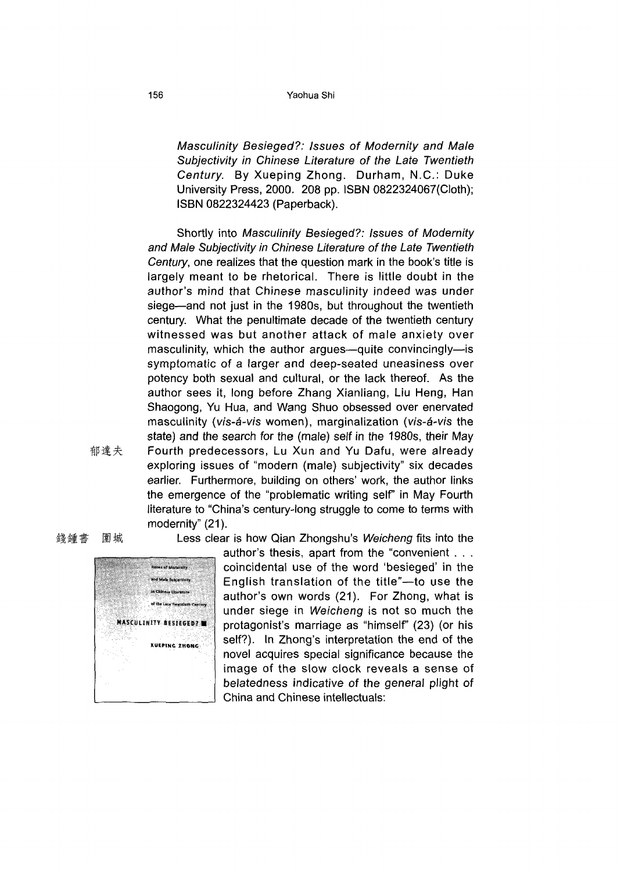## 156 Yaohua Shi

*Masculinity Besieged?: Issues of Modernity and Male Subjectivity in Chinese Literature of the Late Twentieth Century.* By Xueping Zhong. Durham, N.C.: Duke University Press, 2000. 208 pp. ISBN 0822324067(Cioth); ISBN 0822324423 (Paperback).

Shortly into Masculinity Besieged?: Issues of Modernity *and Male Subjectivity in Chinese Literature of the Late Twentieth Century,* one realizes that the question mark in the book's title is largely meant to be rhetorical. There is little doubt in the author's mind that Chinese masculinity indeed was under siege—and not just in the 1980s, but throughout the twentieth century. What the penultimate decade of the twentieth century witnessed was but another attack of male anxiety over masculinity, which the author argues—quite convincingly—is symptomatic of a larger and deep-seated uneasiness over potency both sexual and cultural, or the lack thereof. As the author sees it, long before Zhang Xianliang, Liu Heng, Han Shaogong, Yu Hua, and Wang Shuo obsessed over enervated masculinity *(vis-a-vis* women), marginalization *(vis-a-vis* the state) and the search for the (male) self in the 1980s, their May 郁達夫 Fourth predecessors, Lu Xun and Yu Dafu, were already exploring issues of "modern (male) subjectivity" six decades earlier. Furthermore, building on others' work, the author links the emergence of the "problematic writing self" in May Fourth literature to "China's century-long struggle to come to terms with modernity" (21).



錢鍾書 圍城 Less clear is how Qian Zhongshu's Weicheng fits into the

author's thesis, apart from the "convenient … . coincidental use of the word 'besieged' in the English translation of the title"-to use the author's own words (21). For Zhong, what is under siege in Weicheng is not so much the protagonist's marriage as "himself" (23) (or his self?). In Zhong's interpretation the end of the novel acquires special significance because the image of the slow clock reveals a sense of belatedness indicative of the general plight of China and Chinese intellectuals: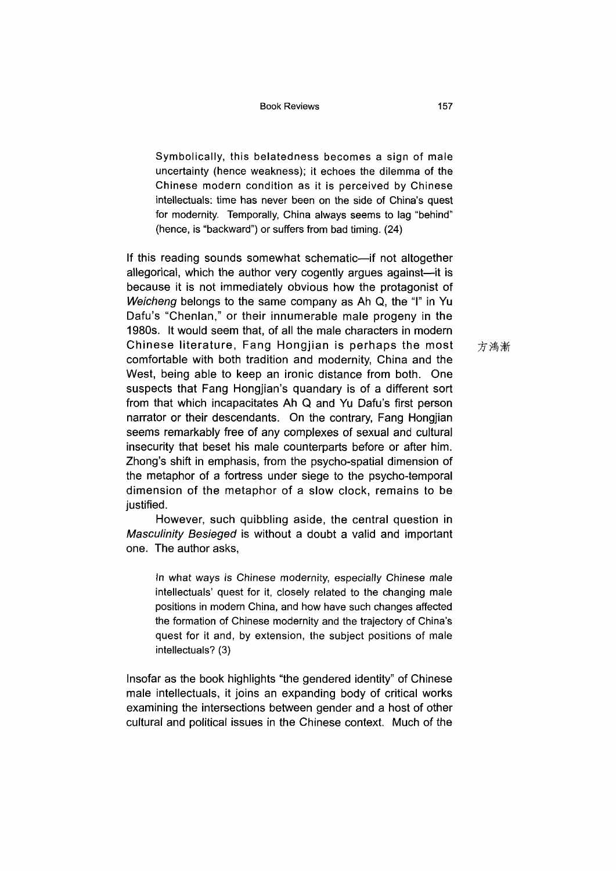Symbolically, this belatedness becomes a sign of male uncertainty (hence weakness); it echoes the dilemma of the Chinese modern condition as it is perceived by Chinese intellectuals: time has never been on the side of China's quest for modernity. Temporally, China always seems to lag "behind" (hence, is "backward") or suffers from bad timing. (24)

If this reading sounds somewhat schematic—if not altogether allegorical, which the author very cogently argues against—it is because it is not immediately obvious how the protagonist of *Weicheng* belongs to the same company as Ah Q, the "I" in Yu Dafu's "Chenlan," or their innumerable male progeny in the 1980s. It would seem that, of all the male characters in modern Chinese literature, Fang Hongjian is perhaps the most comfortable with both tradition and modernity, China and the West, being able to keep an ironic distance from both. One suspects that Fang Hongjian's quandary is of a different sort from that which incapacitates Ah Q and Yu Dafu's first person narrator or their descendants. On the contrary, Fang Hongjian seems remarkably free of any complexes of sexual and cultural insecurity that beset his male counterparts before or after him. Zhong's shift in emphasis, from the psycho-spatial dimension of the metaphor of a fortress under siege to the psycho-temporal dimension of the metaphor of a slow clock, remains to be justified.

However, such quibbling aside, the central question in *Masculinity Besieged* is without <sup>a</sup> doubt <sup>a</sup> valid and important one. The author asks,

In what ways is Chinese modernity, especially Chinese male intellectuals' quest for it, closely related to the changing male positions in modern China, and how have such changes affected the formation of Chinese modernity and the trajectory of China's quest for it and, by extension, the subject positions of male intellectuals? (3)

Insofar as the book highlights "the gendered identity" of Chinese male intellectuals, it joins an expanding body of critical works examining the intersections between gender and a host of other cultural and political issues in the Chinese context. Much of the

方鴻漸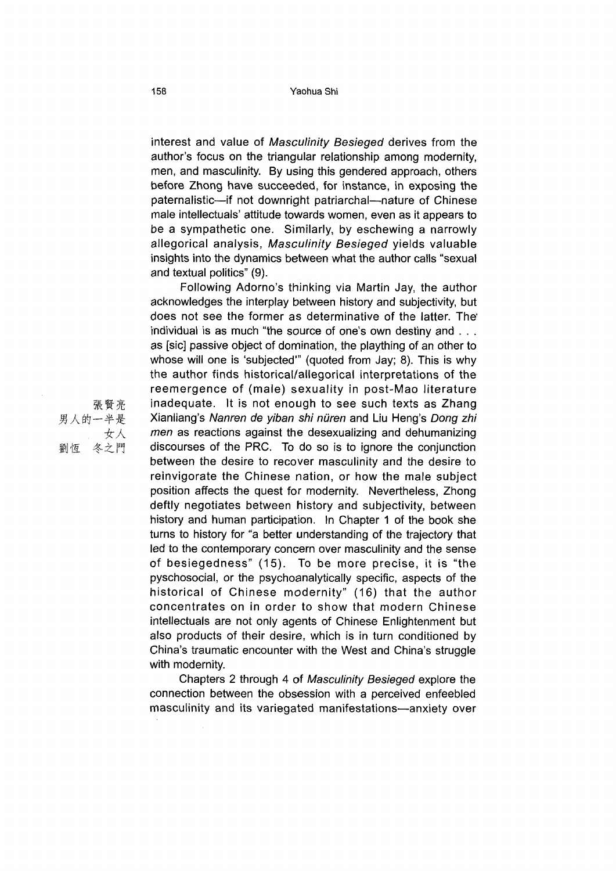interest and value of *Masculinity Besieged* derives from the author's focus on the triangular relationship among modernity, men, and masculinity. By using this gendered approach, others before Zhong have succeeded, for instance, in exposing the paternalistic—if not downright patriarchal—nature of Chinese male intellectuals' attitude towards women, even as it appears to be a sympathetic one. Similarly, by eschewing a narrowly allegorical analysis, *Masculinity Besieged* yields valuable insights into the dynamics between what the author calls "sexual and textual politics"  $(9)$ .

Following Adorno's thinking via Martin Jay, the author acknowledges the interplay between history and subjectivity, but does not see the former as determinative of the latter. The individual is as much "the source of one's own destiny and … as [sic] passive object of domination, the plaything of an other to whose will one is 'subjected'" (quoted from Jay; 8). This is why the author finds historical/allegorical interpretations of the reemergence of (male) sexuality in post-Mao literature inadequate. It is not enough to see such texts as Zhang Xianliang's *Nanren de yiban shi nuren* and Liu Heng's *Dong zhi men* as reactions against the desexualizing and dehumanizing discourses of the PRC. To do so is to ignore the conjunction between the desire to recover masculinity and the desire to reinvigorate the Chinese nation, or how the male subject position affects the quest for modernity. Nevertheless, Zhong deftly negotiates between history and subjectivity, between history and human participation. In Chapter 1 of the book she turns to history for "a better understanding of the trajectory that led to the contemporary concern over masculinity and the sense of besiegedness" (15). To be more precise, it is "the pyschosocial, or the psychoanalytically specific, aspects of the historical of Chinese modernity" (16) that the author concentrates on in order to show that modern Chinese intellectuals are not only agents of Chinese Enlightenment but also products of their desire, which is in turn conditioned by China's traumatic encounter with the West and China's struggle with modernity.

Chapters <sup>2</sup> through <sup>4</sup> of *Masculinity Besieged* explore the connection between the obsession with a perceived enfeebled masculinity and its variegated manifestations—anxiety over

張 賢 亮<br>張 賢 亮 男人的一半是 女人 冬之門 劉恆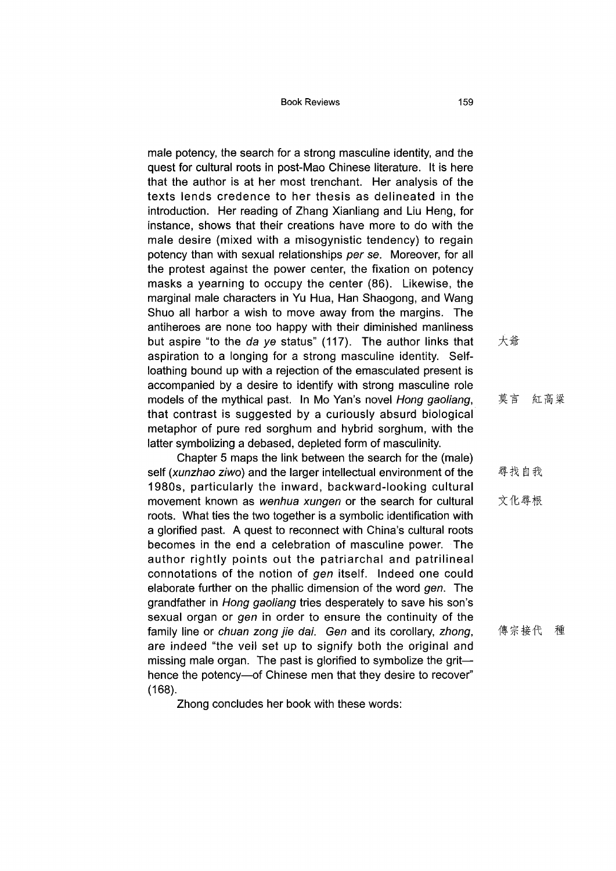male potency, the search for a strong masculine identity, and the quest for cultural roots in post-Mao Chinese literature. It is here that the author is at her most trenchant. Her analysis of the texts lends credence to her thesis as delineated in the introduction. Her reading of Zhang Xianliang and Liu Heng, for instance, shows that their creations have more to do with the male desire (mixed with a misogynistic tendency) to regain potency than with sexual relationships *per se.* Moreover, for all the protest against the power center, the fixation on potency masks a yearning to occupy the center (86). Likewise, the marginal male characters in Yu Hua, Han Shaogong, and Wang Shuo all harbor a wish to move away from the margins. The antiheroes are none too happy with their diminished manliness but aspire "to the da ye status" (117). The author links that aspiration to a longing for a strong masculine identity. Selfloathing bound up with a rejection of the emasculated present is accompanied by a desire to identify with strong masculine role models of the mythical past. In Mo Yan's novel *Hong gaoliang,* that contrast is suggested by a curiously absurd biological metaphor of pure red sorghum and hybrid sorghum, with the latter symbolizing a debased, depleted form of masculinity.

Chapter 5 maps the link between the search for the (male) self *(xunzhao ziwo)* and the larger intellectual environment of the 1980s, particularly the inward, backward-looking cultural movement known as *wenhua xungen* or the search for cultural roots. What ties the two together is a symbolic identification with a glorified past. A quest to reconnect with China's cultural roots becomes in the end a celebration of masculine power. The author rightly points out the patriarchal and patrilineal connotations of the notion of *gen* itself. Indeed one could elaborate further on the phallic dimension of the word *gen.* The grandfather in *Hong gaoliang* tries desperately to save his son's sexual organ or *gen* in order to ensure the continuity of the family line or *chuan zong jie dai. Gen* and its corollary, *zhong,* are indeed "the veil set up to signify both the original and missing male organ. The past is glorified to symbolize the grit hence the potency—of Chinese men that they desire to recover" (168).

Zhong concludes her book with these words:

大爺

莫言 紅高粱

尋找自我

文化尋根

傳宗接代 種